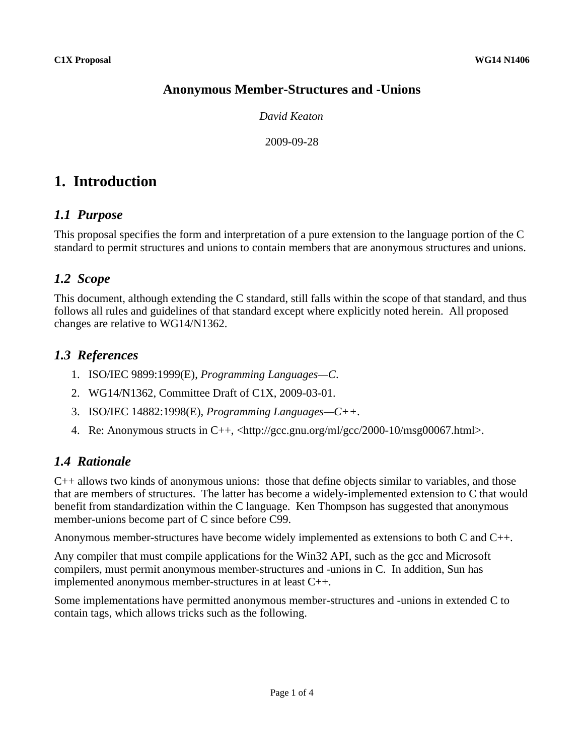## **Anonymous Member-Structures and -Unions**

*David Keaton*

2009-09-28

# **1. Introduction**

### *1.1 Purpose*

This proposal specifies the form and interpretation of a pure extension to the language portion of the C standard to permit structures and unions to contain members that are anonymous structures and unions.

## *1.2 Scope*

This document, although extending the C standard, still falls within the scope of that standard, and thus follows all rules and guidelines of that standard except where explicitly noted herein. All proposed changes are relative to WG14/N1362.

### *1.3 References*

- 1. ISO/IEC 9899:1999(E), *Programming Languages—C*.
- 2. WG14/N1362, Committee Draft of C1X, 2009-03-01.
- 3. ISO/IEC 14882:1998(E), *Programming Languages—C++*.
- 4. Re: Anonymous structs in C++,  $\langle \text{http://gcc.gnu.org/ml/gcc/2000-10/msg00067.html}\rangle$ .

### *1.4 Rationale*

C++ allows two kinds of anonymous unions: those that define objects similar to variables, and those that are members of structures. The latter has become a widely-implemented extension to C that would benefit from standardization within the C language. Ken Thompson has suggested that anonymous member-unions become part of C since before C99.

Anonymous member-structures have become widely implemented as extensions to both C and C++.

Any compiler that must compile applications for the Win32 API, such as the gcc and Microsoft compilers, must permit anonymous member-structures and -unions in C. In addition, Sun has implemented anonymous member-structures in at least C++.

Some implementations have permitted anonymous member-structures and -unions in extended C to contain tags, which allows tricks such as the following.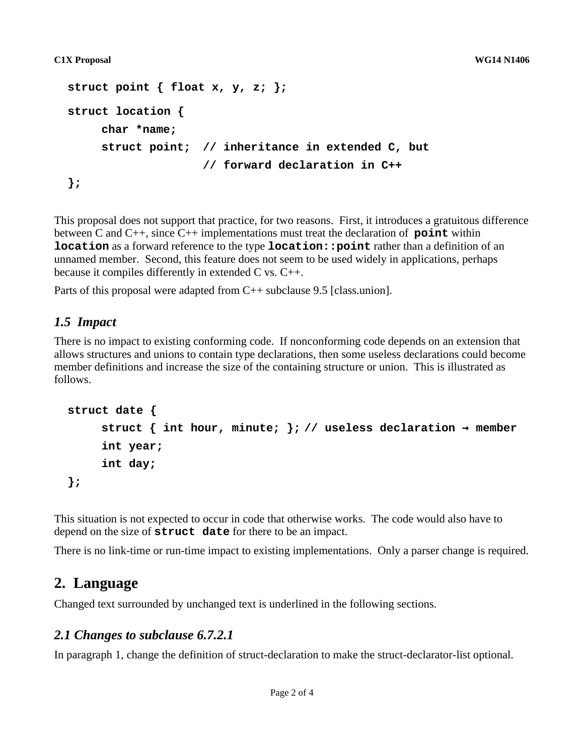```
struct point { float x, y, z; };
struct location {
     char *name;
     struct point; // inheritance in extended C, but
                    // forward declaration in C++
};
```
This proposal does not support that practice, for two reasons. First, it introduces a gratuitous difference between C and C++, since C++ implementations must treat the declaration of **point** within **location** as a forward reference to the type **location::point** rather than a definition of an unnamed member. Second, this feature does not seem to be used widely in applications, perhaps because it compiles differently in extended C vs. C++.

Parts of this proposal were adapted from C++ subclause 9.5 [class.union].

### *1.5 Impact*

There is no impact to existing conforming code. If nonconforming code depends on an extension that allows structures and unions to contain type declarations, then some useless declarations could become member definitions and increase the size of the containing structure or union. This is illustrated as follows.

```
struct date {
     struct { int hour, minute; }; // useless declaration \rightarrow member
     int year;
     int day;
};
```
This situation is not expected to occur in code that otherwise works. The code would also have to depend on the size of **struct date** for there to be an impact.

There is no link-time or run-time impact to existing implementations. Only a parser change is required.

### **2. Language**

Changed text surrounded by unchanged text is underlined in the following sections.

### *2.1 Changes to subclause 6.7.2.1*

In paragraph 1, change the definition of struct-declaration to make the struct-declarator-list optional.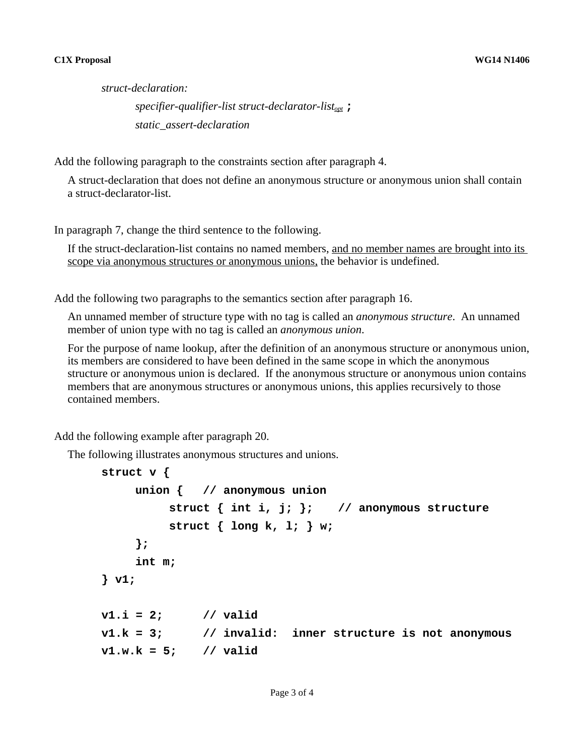#### **C1X Proposal WG14 N1406**

*struct-declaration: specifier-qualifier-list struct-declarator-listopt* **;** *static\_assert-declaration*

Add the following paragraph to the constraints section after paragraph 4.

A struct-declaration that does not define an anonymous structure or anonymous union shall contain a struct-declarator-list.

In paragraph 7, change the third sentence to the following.

If the struct-declaration-list contains no named members, and no member names are brought into its scope via anonymous structures or anonymous unions, the behavior is undefined.

Add the following two paragraphs to the semantics section after paragraph 16.

An unnamed member of structure type with no tag is called an *anonymous structure*. An unnamed member of union type with no tag is called an *anonymous union*.

For the purpose of name lookup, after the definition of an anonymous structure or anonymous union, its members are considered to have been defined in the same scope in which the anonymous structure or anonymous union is declared. If the anonymous structure or anonymous union contains members that are anonymous structures or anonymous unions, this applies recursively to those contained members.

Add the following example after paragraph 20.

The following illustrates anonymous structures and unions.

```
struct v {
    union { // anonymous union
         struct { int i, j; }; // anonymous structure
         struct { long k, l; } w;
     };
    int m;
} v1;
v1.i = 2; // valid
v1.k = 3; // invalid: inner structure is not anonymous
v1.w.k = 5; // valid
```